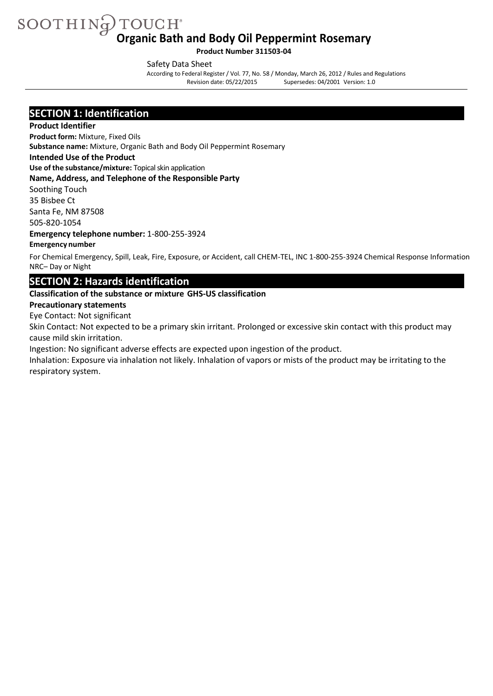SOOTHING TOUCH® **Organic Bath and Body Oil Peppermint Rosemary**

**Product Number 311503-04**

Safety Data Sheet

According to Federal Register/ Vol. 77, No. 58 / Monday, March 26, 2012 / Rules and Regulations Supersedes: 04/2001 Version: 1.0

### **SECTION 1: Identification**

#### **Product Identifier**

**Product form:** Mixture, Fixed Oils

**Substance name:** Mixture, Organic Bath and Body Oil Peppermint Rosemary

#### **Intended Use of the Product**

**Use of the substance/mixture:** Topicalskin application

#### **Name, Address, and Telephone of the Responsible Party**

Soothing Touch 35 Bisbee Ct

Santa Fe, NM 87508

505-820-1054

**Emergency telephone number:** 1-800-255-3924

#### **Emergency number**

For Chemical Emergency, Spill, Leak, Fire, Exposure, or Accident, call CHEM-TEL, INC 1-800-255-3924 Chemical Response Information NRC– Day or Night

### **SECTION 2: Hazards identification**

#### **Classification of the substance or mixture GHS-US classification**

#### **Precautionary statements**

Eye Contact: Not significant

Skin Contact: Not expected to be a primary skin irritant. Prolonged or excessive skin contact with this product may cause mild skin irritation.

Ingestion: No significant adverse effects are expected upon ingestion of the product.

Inhalation: Exposure via inhalation not likely. Inhalation of vapors or mists of the product may be irritating to the respiratory system.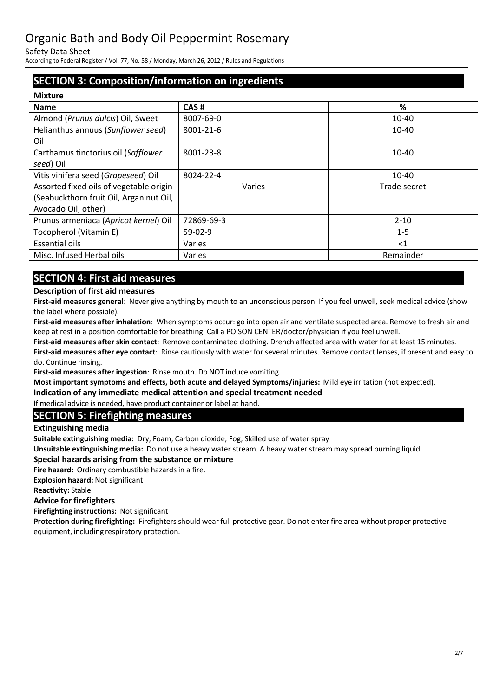Safety Data Sheet

According to Federal Register/ Vol. 77, No. 58 / Monday, March 26, 2012 / Rules and Regulations

## **SECTION 3: Composition/information on ingredients**

| <b>Mixture</b>                          |            |              |
|-----------------------------------------|------------|--------------|
| <b>Name</b>                             | CAS#       | %            |
| Almond (Prunus dulcis) Oil, Sweet       | 8007-69-0  | 10-40        |
| Helianthus annuus (Sunflower seed)      | 8001-21-6  | 10-40        |
| Oil                                     |            |              |
| Carthamus tinctorius oil (Safflower     | 8001-23-8  | $10 - 40$    |
| seed) Oil                               |            |              |
| Vitis vinifera seed (Grapeseed) Oil     | 8024-22-4  | $10 - 40$    |
| Assorted fixed oils of vegetable origin | Varies     | Trade secret |
| (Seabuckthorn fruit Oil, Argan nut Oil, |            |              |
| Avocado Oil, other)                     |            |              |
| Prunus armeniaca (Apricot kernel) Oil   | 72869-69-3 | $2 - 10$     |
| Tocopherol (Vitamin E)                  | $59-02-9$  | $1 - 5$      |
| <b>Essential oils</b>                   | Varies     | $\leq$ 1     |
| Misc. Infused Herbal oils               | Varies     | Remainder    |
|                                         |            |              |

## **SECTION 4: First aid measures**

#### **Description of first aid measures**

**First-aid measures general**: Never give anything by mouth to an unconscious person. If you feel unwell, seek medical advice (show the label where possible).

**First-aid measures after inhalation**: When symptoms occur: go into open air and ventilate suspected area. Remove to fresh air and keep at rest in a position comfortable for breathing. Call a POISON CENTER/doctor/physician if you feel unwell.

**First-aid measures after skin contact**: Remove contaminated clothing. Drench affected area with water for at least 15 minutes. **First-aid measures after eye contact**: Rinse cautiously with water for several minutes. Remove contact lenses, if present and easy to do. Continue rinsing.

**First-aid measures after ingestion**: Rinse mouth. Do NOT induce vomiting.

**Most important symptoms and effects, both acute and delayed Symptoms/injuries:** Mild eye irritation (not expected).

**Indication of any immediate medical attention and special treatment needed** 

If medical advice is needed, have product container or label at hand.

### **SECTION 5: Firefighting measures**

**Extinguishing media**

**Suitable extinguishing media:** Dry, Foam, Carbon dioxide, Fog, Skilled use of water spray

**Unsuitable extinguishing media:** Do not use a heavy water stream. A heavy water stream may spread burning liquid.

#### **Special hazards arising from the substance or mixture**

**Fire hazard:** Ordinary combustible hazards in a fire.

**Explosion hazard:** Not significant

**Reactivity:** Stable

#### **Advice for firefighters**

**Firefighting instructions:** Not significant

**Protection during firefighting:** Firefighters should wear full protective gear. Do not enter fire area without proper protective equipment, including respiratory protection.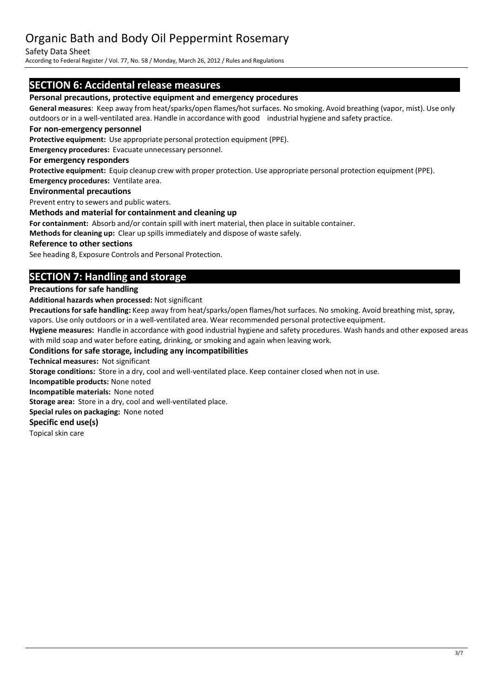#### Safety Data Sheet

According to Federal Register/ Vol. 77, No. 58 / Monday, March 26, 2012 / Rules and Regulations

### **SECTION 6: Accidental release measures**

#### **Personal precautions, protective equipment and emergency procedures**

**General measures**: Keep away from heat/sparks/open flames/hot surfaces. No smoking. Avoid breathing (vapor, mist). Use only outdoors or in a well-ventilated area. Handle in accordance with good industrial hygiene and safety practice.

#### **For non-emergency personnel**

**Protective equipment:** Use appropriate personal protection equipment (PPE).

**Emergency procedures:** Evacuate unnecessary personnel.

#### **For emergency responders**

**Protective equipment:** Equip cleanup crew with proper protection. Use appropriate personal protection equipment (PPE). **Emergency procedures:** Ventilate area.

#### **Environmental precautions**

Prevent entry to sewers and public waters.

#### **Methods and material for containment and cleaning up**

**For containment:** Absorb and/or contain spill with inert material, then place in suitable container.

**Methods for cleaning up:** Clear up spillsimmediately and dispose of waste safely.

#### **Reference to other sections**

See heading 8, Exposure Controls and Personal Protection.

## **SECTION 7: Handling and storage**

#### **Precautions for safe handling**

**Additional hazards when processed:** Not significant

Precautions for safe handling: Keep away from heat/sparks/open flames/hot surfaces. No smoking. Avoid breathing mist, spray, vapors. Use only outdoors or in a well-ventilated area. Wear recommended personal protective equipment.

**Hygiene measures:** Handle in accordance with good industrial hygiene and safety procedures. Wash hands and other exposed areas with mild soap and water before eating, drinking, or smoking and again when leaving work.

#### **Conditions for safe storage, including any incompatibilities**

**Technical measures:** Not significant

**Storage conditions:** Store in a dry, cool and well-ventilated place. Keep container closed when not in use.

**Incompatible products:** None noted

**Incompatible materials:** None noted

**Storage area:** Store in a dry, cool and well-ventilated place.

**Special rules on packaging:** None noted

#### **Specific end use(s)**

Topical skin care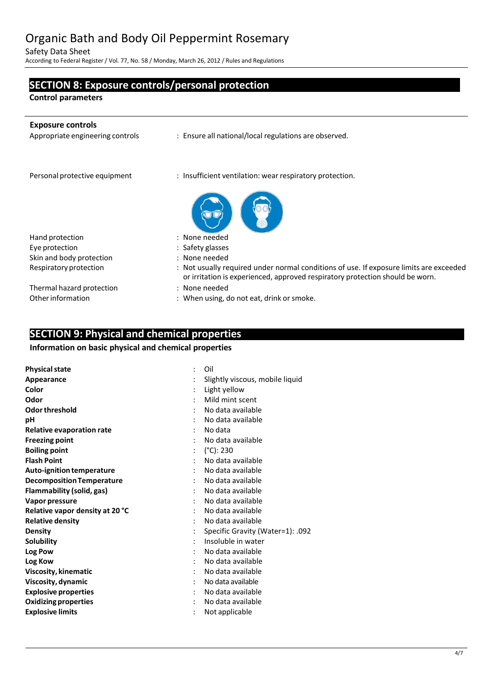Safety Data Sheet

According to Federal Register/ Vol. 77, No. 58 / Monday, March 26, 2012 / Rules and Regulations

# **SECTION 8: Exposure controls/personal protection Control parameters Exposure controls** : Ensure all national/local regulations are observed. Personal protective equipment : Insufficient ventilation: wear respiratory protection. Hand protection in the set of the set of the set of the Hand protection Eye protection in the same state of the Safety glasses Skin and body protection : None needed<br>Respiratory protection : Not usually re : Not usually required under normal conditions of use. If exposure limits are exceeded or irritation is experienced, approved respiratory protection should be worn. Thermal hazard protection : None needed Other information : When using, do not eat, drink or smoke.

### **SECTION 9: Physical and chemical properties**

#### **Information on basic physical and chemical properties**

| <b>Physical state</b>            | Oil                              |
|----------------------------------|----------------------------------|
| Appearance                       | Slightly viscous, mobile liquid  |
| Color                            | Light yellow                     |
| Odor                             | Mild mint scent                  |
| Odor threshold                   | No data available                |
| рH                               | No data available                |
| <b>Relative evaporation rate</b> | No data                          |
| <b>Freezing point</b>            | No data available                |
| <b>Boiling point</b>             | $(^{\circ}C)$ : 230              |
| <b>Flash Point</b>               | No data available                |
| Auto-ignition temperature        | No data available                |
| <b>Decomposition Temperature</b> | No data available                |
| Flammability (solid, gas)        | No data available                |
| Vapor pressure                   | No data available                |
| Relative vapor density at 20 °C  | No data available                |
| <b>Relative density</b>          | No data available                |
| Density                          | Specific Gravity (Water=1): .092 |
| <b>Solubility</b>                | Insoluble in water               |
| Log Pow                          | No data available                |
| Log Kow                          | No data available                |
| Viscosity, kinematic             | No data available                |
| Viscosity, dynamic               | No data available                |
| <b>Explosive properties</b>      | No data available                |
| <b>Oxidizing properties</b>      | No data available                |
| <b>Explosive limits</b>          | Not applicable                   |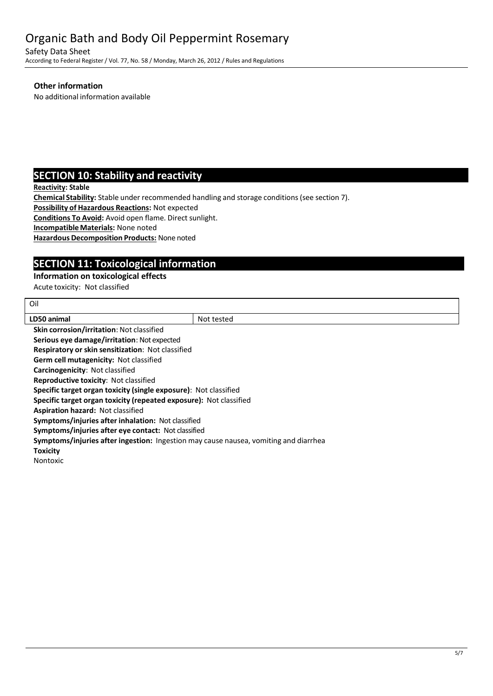Safety Data Sheet

According to Federal Register/ Vol. 77, No. 58 / Monday, March 26, 2012 / Rules and Regulations

#### **Other information**

No additional information available

## **SECTION 10: Stability and reactivity**

**Reactivity: Stable**

Oil

**Chemical Stability:** Stable under recommended handling and storage conditions(see section 7).

**Possibility of Hazardous Reactions:** Not expected

**Conditions To Avoid:** Avoid open flame. Direct sunlight.

**IncompatibleMaterials:** None noted

**Hazardous Decomposition Products:** None noted

## **SECTION 11: Toxicological information**

#### **Information on toxicological effects**

Acute toxicity: Not classified

| LD50 animal                                                                          | Not tested |  |
|--------------------------------------------------------------------------------------|------------|--|
| <b>Skin corrosion/irritation: Not classified</b>                                     |            |  |
| Serious eye damage/irritation: Not expected                                          |            |  |
| Respiratory or skin sensitization: Not classified                                    |            |  |
| Germ cell mutagenicity: Not classified                                               |            |  |
| Carcinogenicity: Not classified                                                      |            |  |
| <b>Reproductive toxicity: Not classified</b>                                         |            |  |
| Specific target organ toxicity (single exposure): Not classified                     |            |  |
| Specific target organ toxicity (repeated exposure): Not classified                   |            |  |
| <b>Aspiration hazard: Not classified</b>                                             |            |  |
| Symptoms/injuries after inhalation: Not classified                                   |            |  |
| Symptoms/injuries after eye contact: Not classified                                  |            |  |
| Symptoms/injuries after ingestion: Ingestion may cause nausea, vomiting and diarrhea |            |  |
| <b>Toxicity</b>                                                                      |            |  |
| <b>Nontoxic</b>                                                                      |            |  |
|                                                                                      |            |  |
|                                                                                      |            |  |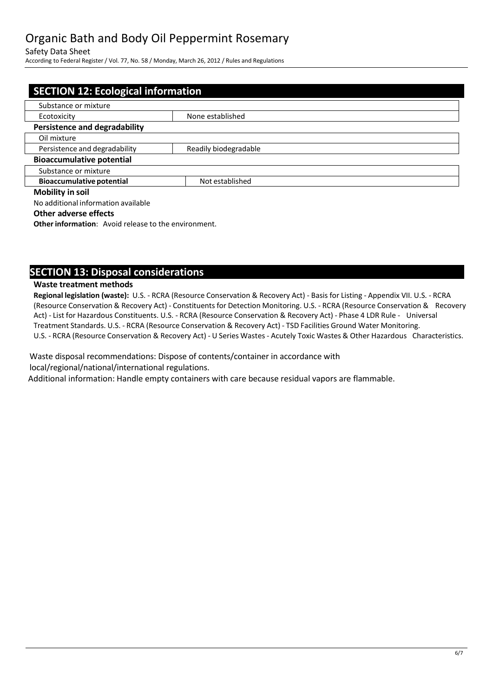Safety Data Sheet

According to Federal Register/ Vol. 77, No. 58 / Monday, March 26, 2012 / Rules and Regulations

| <b>SECTION 12: Ecological information</b> |                       |  |
|-------------------------------------------|-----------------------|--|
| Substance or mixture                      |                       |  |
| Ecotoxicity                               | None established      |  |
| <b>Persistence and degradability</b>      |                       |  |
| Oil mixture                               |                       |  |
| Persistence and degradability             | Readily biodegradable |  |
| <b>Bioaccumulative potential</b>          |                       |  |
| Substance or mixture                      |                       |  |
| <b>Bioaccumulative potential</b>          | Not established       |  |
| <b>Mobility in soil</b>                   |                       |  |
| No additional information available       |                       |  |

#### **Other adverse effects**

**Other information:** Avoid release to the environment.

### **SECTION 13: Disposal considerations**

#### **Waste treatment methods**

**Regional legislation (waste):** U.S. - RCRA (Resource Conservation & Recovery Act) - Basis for Listing - Appendix VII. U.S. - RCRA (Resource Conservation & Recovery Act) - Constituentsfor Detection Monitoring. U.S. - RCRA (Resource Conservation & Recovery Act) - List for Hazardous Constituents. U.S. - RCRA (Resource Conservation & Recovery Act) - Phase 4 LDR Rule - Universal Treatment Standards. U.S. - RCRA (Resource Conservation & Recovery Act) - TSD Facilities Ground Water Monitoring. U.S. - RCRA (Resource Conservation & Recovery Act) - U Series Wastes - Acutely Toxic Wastes & Other Hazardous Characteristics.

Waste disposal recommendations: Dispose of contents/container in accordance with local/regional/national/international regulations.

Additional information: Handle empty containers with care because residual vapors are flammable.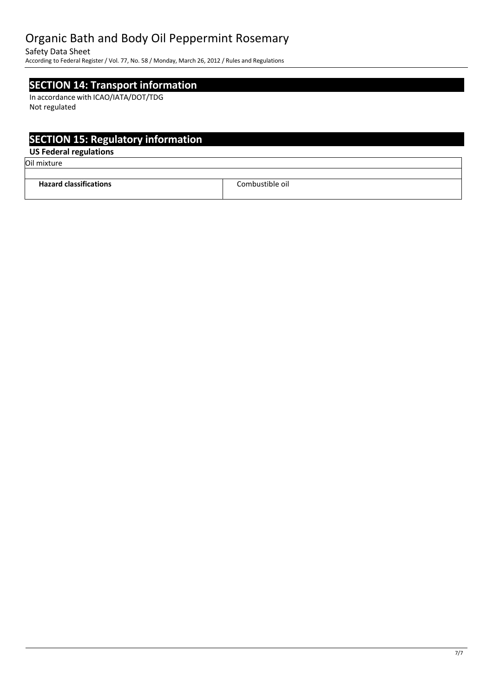Safety Data Sheet

According to Federal Register/ Vol. 77, No. 58 / Monday, March 26, 2012 / Rules and Regulations

## **SECTION 14: Transport information**

In accordance with ICAO/IATA/DOT/TDG Not regulated

## **SECTION 15: Regulatory information**

### **US Federal regulations**

Oil mixture

| $\cdot$<br><b>Hazard classific</b><br>ations.<br>. | Combustible oil.<br>. |
|----------------------------------------------------|-----------------------|
|                                                    |                       |